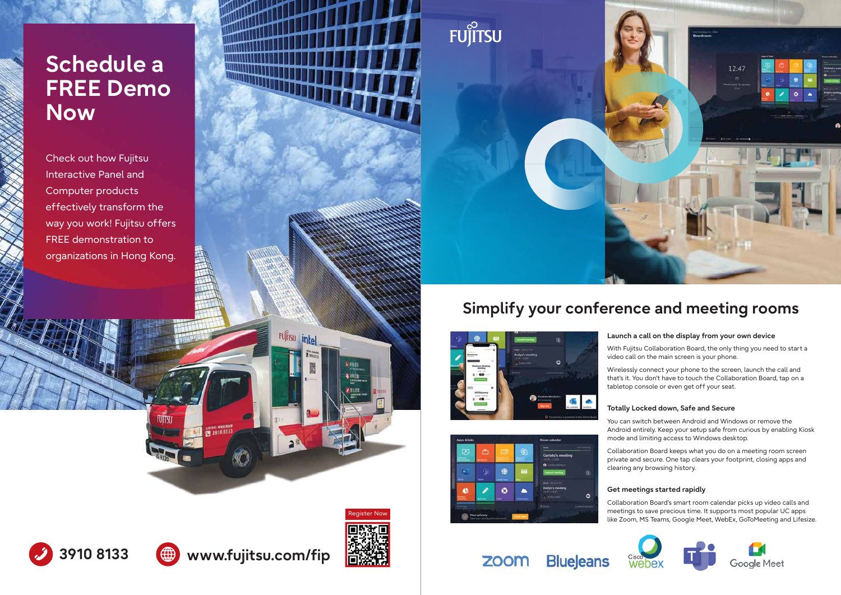### **Launch a call on the display from your own device**

Wirelessly connect your phone to the screen, launch the call and that's it. You don't have to touch the Collaboration Board, tap on a tabletop console or even get off your seat.

With Fujitsu Collaboration Board, the only thing you need to start a video call on the main screen is your phone.

### **Totally Locked down, Safe and Secure**





You can switch between Android and Windows or remove the Android entirely. Keep your setup safe from curious by enabling Kiosk mode and limiting access to Windows desktop.

Collaboration Board keeps what you do on a meeting room screen private and secure. One tap clears your footprint, closing apps and clearing any browsing history.

## **Get meetings started rapidly**

Collaboration Board's smart room calendar picks up video calls and meetings to save precious time. It supports most popular UC apps like Zoom, MS Teams, Google Meet, WebEx, GoToMeeting and Lifesize.





FUITSU

**CE 3910 8133** 

**3910 8133 www.fujitsu.com/fip**

<u>santificial de la pro</u>

**FUJITSU** 

intel







# **Simplify your conference and meeting rooms**





# **Schedule a FREE Demo Now**

Check out how Fujitsu Interactive Panel and Computer products effectively transform the way you work! Fujitsu offers FREE demonstration to organizations in Hong Kong.